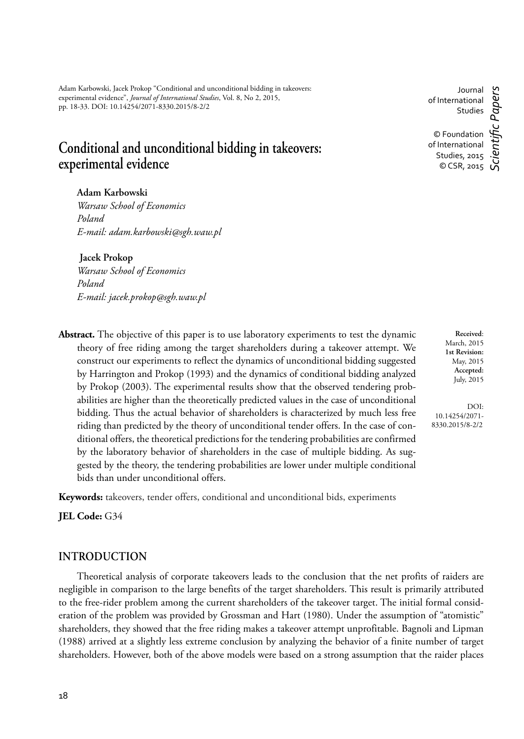Adam Karbowski, Jacek Prokop "Conditional and unconditional bidding in takeovers: experimental evidence", *Journal of International Studies*, Vol. 8, No 2, 2015, pp. 18-33. DOI: 10.14254/2071-8330.2015/8-2/2

# **Conditional and unconditional bidding in takeovers: experimental evidence**

Journal of International Studies © Foundation of International Studies, 2015 © CSR, 2015 *Scientifi c Papers*

# **Adam Karbowski**

*Warsaw School of Economics Poland E-mail: adam.karbowski@sgh.waw.pl*

 **Jacek Prokop**

*Warsaw School of Economics Poland E-mail: jacek.prokop@sgh.waw.pl*

**Abstract.** The objective of this paper is to use laboratory experiments to test the dynamic theory of free riding among the target shareholders during a takeover attempt. We construct our experiments to reflect the dynamics of unconditional bidding suggested by Harrington and Prokop (1993) and the dynamics of conditional bidding analyzed by Prokop (2003). The experimental results show that the observed tendering probabilities are higher than the theoretically predicted values in the case of unconditional bidding. Thus the actual behavior of shareholders is characterized by much less free riding than predicted by the theory of unconditional tender offers. In the case of conditional offers, the theoretical predictions for the tendering probabilities are confirmed by the laboratory behavior of shareholders in the case of multiple bidding. As suggested by the theory, the tendering probabilities are lower under multiple conditional bids than under unconditional offers.

**Keywords:** takeovers, tender offers, conditional and unconditional bids, experiments

**JEL Code:** G34

## **INTRODUCTION**

Theoretical analysis of corporate takeovers leads to the conclusion that the net profits of raiders are negligible in comparison to the large benefits of the target shareholders. This result is primarily attributed to the free-rider problem among the current shareholders of the takeover target. The initial formal consideration of the problem was provided by Grossman and Hart (1980). Under the assumption of "atomistic" shareholders, they showed that the free riding makes a takeover attempt unprofitable. Bagnoli and Lipman (1988) arrived at a slightly less extreme conclusion by analyzing the behavior of a finite number of target shareholders. However, both of the above models were based on a strong assumption that the raider places

**Received**: March, 2015 **1st Revision:** May, 2015 **Accepted:** July, 2015

DOI: 10.14254/2071- 8330.2015/8-2/2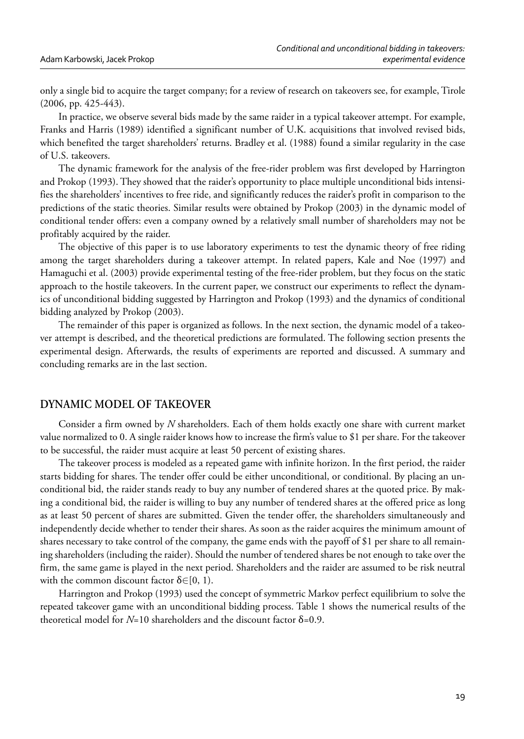only a single bid to acquire the target company; for a review of research on takeovers see, for example, Tirole (2006, pp. 425-443).

In practice, we observe several bids made by the same raider in a typical takeover attempt. For example, Franks and Harris (1989) identified a significant number of U.K. acquisitions that involved revised bids, which benefited the target shareholders' returns. Bradley et al. (1988) found a similar regularity in the case of U.S. takeovers.

The dynamic framework for the analysis of the free-rider problem was first developed by Harrington and Prokop (1993). They showed that the raider's opportunity to place multiple unconditional bids intensifies the shareholders' incentives to free ride, and significantly reduces the raider's profit in comparison to the predictions of the static theories. Similar results were obtained by Prokop (2003) in the dynamic model of conditional tender offers: even a company owned by a relatively small number of shareholders may not be profitably acquired by the raider.

The objective of this paper is to use laboratory experiments to test the dynamic theory of free riding among the target shareholders during a takeover attempt. In related papers, Kale and Noe (1997) and Hamaguchi et al. (2003) provide experimental testing of the free-rider problem, but they focus on the static approach to the hostile takeovers. In the current paper, we construct our experiments to reflect the dynamics of unconditional bidding suggested by Harrington and Prokop (1993) and the dynamics of conditional bidding analyzed by Prokop (2003).

The remainder of this paper is organized as follows. In the next section, the dynamic model of a takeover attempt is described, and the theoretical predictions are formulated. The following section presents the experimental design. Afterwards, the results of experiments are reported and discussed. A summary and concluding remarks are in the last section.

#### **DYNAMIC MODEL OF TAKEOVER**

Consider a firm owned by *N* shareholders. Each of them holds exactly one share with current market value normalized to 0. A single raider knows how to increase the firm's value to \$1 per share. For the takeover to be successful, the raider must acquire at least 50 percent of existing shares.

The takeover process is modeled as a repeated game with infinite horizon. In the first period, the raider starts bidding for shares. The tender offer could be either unconditional, or conditional. By placing an unconditional bid, the raider stands ready to buy any number of tendered shares at the quoted price. By making a conditional bid, the raider is willing to buy any number of tendered shares at the offered price as long as at least 50 percent of shares are submitted. Given the tender offer, the shareholders simultaneously and independently decide whether to tender their shares. As soon as the raider acquires the minimum amount of shares necessary to take control of the company, the game ends with the payoff of \$1 per share to all remaining shareholders (including the raider). Should the number of tendered shares be not enough to take over the firm, the same game is played in the next period. Shareholders and the raider are assumed to be risk neutral with the common discount factor  $\delta \in [0, 1)$ .

Harrington and Prokop (1993) used the concept of symmetric Markov perfect equilibrium to solve the repeated takeover game with an unconditional bidding process. Table 1 shows the numerical results of the theoretical model for *N*=10 shareholders and the discount factor δ=0.9.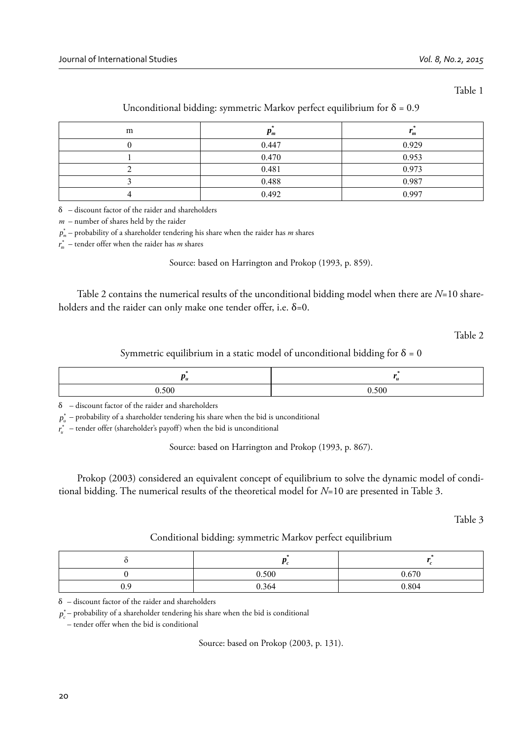Table 1

| m | $F_m$ | $\boldsymbol{m}$ |
|---|-------|------------------|
|   | 0.447 | 0.929            |
|   | 0.470 | 0.953            |
|   | 0.481 | 0.973            |
|   | 0.488 | 0.987            |
|   | 0.492 | 0.997            |

#### Unconditional bidding: symmetric Markov perfect equilibrium for  $\delta = 0.9$

δ – discount factor of the raider and shareholders

*m* – number of shares held by the raider

 $p_{_{m}}^{\ast }$  – probability of a shareholder tendering his share when the raider has  $m$  shares

 $r_{m}^{*}$  – tender offer when the raider has  $m$  shares

Source: based on Harrington and Prokop (1993, p. 859).

Table 2 contains the numerical results of the unconditional bidding model when there are *N*=10 shareholders and the raider can only make one tender offer, i.e.  $\delta = 0$ .

Table 2

Symmetric equilibrium in a static model of unconditional bidding for  $\delta = 0$ 

| 500 | 0.500 |  |
|-----|-------|--|

 $\delta$  – discount factor of the raider and shareholders

 $p_{u}^{*}$  – probability of a shareholder tendering his share when the bid is unconditional

 $r_u^*$  – tender offer (shareholder's payoff) when the bid is unconditional

Source: based on Harrington and Prokop (1993, p. 867).

Prokop (2003) considered an equivalent concept of equilibrium to solve the dynamic model of conditional bidding. The numerical results of the theoretical model for *N*=10 are presented in Table 3.

Table 3

Conditional bidding: symmetric Markov perfect equilibrium

|     | 0.500 | 0.670 |
|-----|-------|-------|
| 1 U | 0.364 | 0.804 |

δ – discount factor of the raider and shareholders

 $p_c^*$ – probability of a shareholder tendering his share when the bid is conditional

– tender offer when the bid is conditional

Source: based on Prokop (2003, p. 131).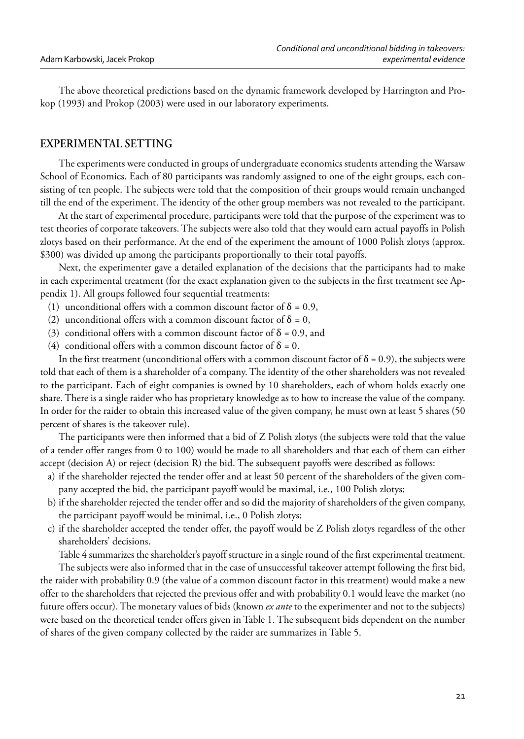The above theoretical predictions based on the dynamic framework developed by Harrington and Prokop (1993) and Prokop (2003) were used in our laboratory experiments.

### **EXPERIMENTAL SETTING**

The experiments were conducted in groups of undergraduate economics students attending the Warsaw School of Economics. Each of 80 participants was randomly assigned to one of the eight groups, each consisting of ten people. The subjects were told that the composition of their groups would remain unchanged till the end of the experiment. The identity of the other group members was not revealed to the participant.

At the start of experimental procedure, participants were told that the purpose of the experiment was to test theories of corporate takeovers. The subjects were also told that they would earn actual payoffs in Polish zlotys based on their performance. At the end of the experiment the amount of 1000 Polish zlotys (approx. \$300) was divided up among the participants proportionally to their total payoffs.

Next, the experimenter gave a detailed explanation of the decisions that the participants had to make in each experimental treatment (for the exact explanation given to the subjects in the first treatment see Appendix 1). All groups followed four sequential treatments:

- (1) unconditional offers with a common discount factor of  $\delta = 0.9$ ,
- (2) unconditional offers with a common discount factor of  $\delta = 0$ ,
- (3) conditional offers with a common discount factor of  $\delta$  = 0.9, and
- (4) conditional offers with a common discount factor of  $\delta = 0$ .

In the first treatment (unconditional offers with a common discount factor of  $\delta = 0.9$ ), the subjects were told that each of them is a shareholder of a company. The identity of the other shareholders was not revealed to the participant. Each of eight companies is owned by 10 shareholders, each of whom holds exactly one share. There is a single raider who has proprietary knowledge as to how to increase the value of the company. In order for the raider to obtain this increased value of the given company, he must own at least 5 shares (50 percent of shares is the takeover rule).

The participants were then informed that a bid of Z Polish zlotys (the subjects were told that the value of a tender offer ranges from 0 to 100) would be made to all shareholders and that each of them can either accept (decision A) or reject (decision R) the bid. The subsequent payoffs were described as follows:

- a) if the shareholder rejected the tender offer and at least 50 percent of the shareholders of the given company accepted the bid, the participant payoff would be maximal, i.e., 100 Polish zlotys;
- b) if the shareholder rejected the tender offer and so did the majority of shareholders of the given company, the participant payoff would be minimal, i.e., 0 Polish zlotys;
- c) if the shareholder accepted the tender offer, the payoff would be Z Polish zlotys regardless of the other shareholders' decisions.

Table 4 summarizes the shareholder's payoff structure in a single round of the first experimental treatment.

The subjects were also informed that in the case of unsuccessful takeover attempt following the first bid, the raider with probability 0.9 (the value of a common discount factor in this treatment) would make a new offer to the shareholders that rejected the previous offer and with probability 0.1 would leave the market (no future offers occur). The monetary values of bids (known *ex ante* to the experimenter and not to the subjects) were based on the theoretical tender offers given in Table 1. The subsequent bids dependent on the number of shares of the given company collected by the raider are summarizes in Table 5.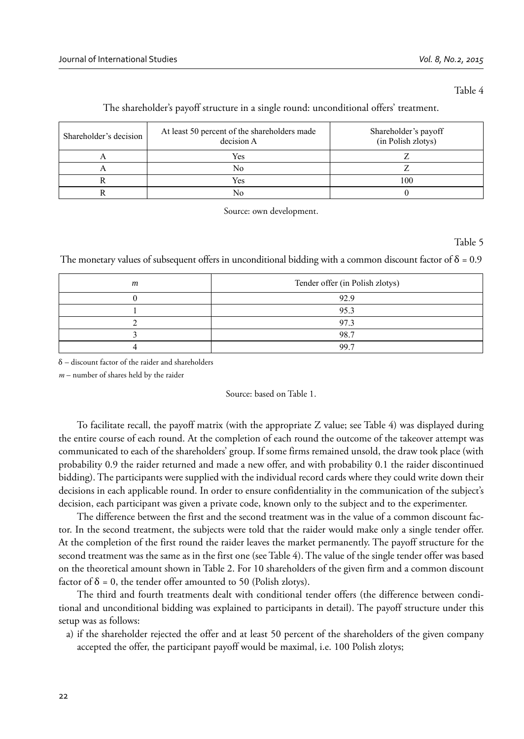#### Table 4

| Shareholder's decision | At least 50 percent of the shareholders made<br>decision A | Shareholder's payoff<br>(in Polish zlotys) |
|------------------------|------------------------------------------------------------|--------------------------------------------|
|                        | Yes                                                        |                                            |
|                        | No                                                         |                                            |
|                        | Yes                                                        | 100                                        |
|                        | No                                                         |                                            |

#### The shareholder's payoff structure in a single round: unconditional offers' treatment.

Source: own development.

Table 5

The monetary values of subsequent offers in unconditional bidding with a common discount factor of  $\delta = 0.9$ 

| m | Tender offer (in Polish zlotys) |
|---|---------------------------------|
|   | 92.9                            |
|   | 95.3                            |
|   | 97.3                            |
|   | 98.7                            |
|   | 99.7                            |

δ – discount factor of the raider and shareholders

*m* – number of shares held by the raider

Source: based on Table 1.

To facilitate recall, the payoff matrix (with the appropriate Z value; see Table 4) was displayed during the entire course of each round. At the completion of each round the outcome of the takeover attempt was communicated to each of the shareholders' group. If some firms remained unsold, the draw took place (with probability 0.9 the raider returned and made a new offer, and with probability 0.1 the raider discontinued bidding). The participants were supplied with the individual record cards where they could write down their decisions in each applicable round. In order to ensure confidentiality in the communication of the subject's decision, each participant was given a private code, known only to the subject and to the experimenter.

The difference between the first and the second treatment was in the value of a common discount factor. In the second treatment, the subjects were told that the raider would make only a single tender offer. At the completion of the first round the raider leaves the market permanently. The payoff structure for the second treatment was the same as in the first one (see Table 4). The value of the single tender offer was based on the theoretical amount shown in Table 2. For 10 shareholders of the given firm and a common discount factor of  $\delta = 0$ , the tender offer amounted to 50 (Polish zlotys).

The third and fourth treatments dealt with conditional tender offers (the difference between conditional and unconditional bidding was explained to participants in detail). The payoff structure under this setup was as follows:

a) if the shareholder rejected the offer and at least 50 percent of the shareholders of the given company accepted the offer, the participant payoff would be maximal, i.e. 100 Polish zlotys;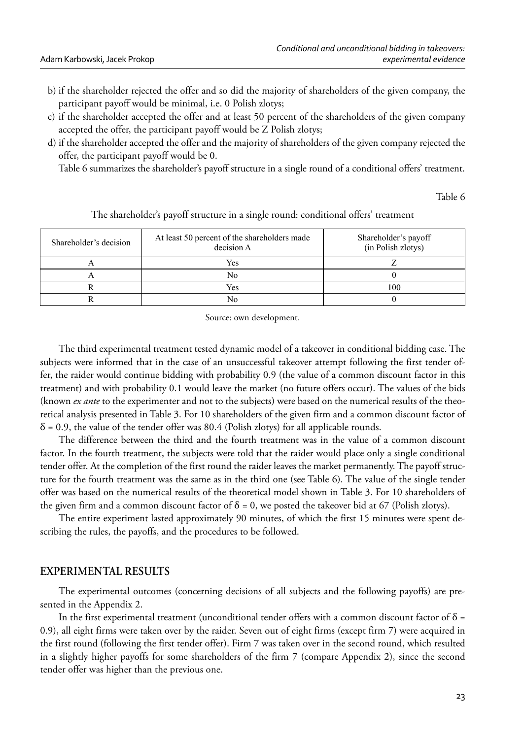- b) if the shareholder rejected the offer and so did the majority of shareholders of the given company, the participant payoff would be minimal, i.e. 0 Polish zlotys;
- c) if the shareholder accepted the offer and at least 50 percent of the shareholders of the given company accepted the offer, the participant payoff would be Z Polish zlotys;
- d) if the shareholder accepted the offer and the majority of shareholders of the given company rejected the offer, the participant payoff would be 0.

Table 6 summarizes the shareholder's payoff structure in a single round of a conditional offers' treatment.

Table 6

| Shareholder's decision | At least 50 percent of the shareholders made<br>decision A | Shareholder's payoff<br>(in Polish zlotys) |
|------------------------|------------------------------------------------------------|--------------------------------------------|
|                        | Yes                                                        |                                            |
|                        | No                                                         |                                            |
|                        | Yes                                                        | 100                                        |
|                        | Nο                                                         |                                            |

The shareholder's payoff structure in a single round: conditional offers' treatment

Source: own development.

The third experimental treatment tested dynamic model of a takeover in conditional bidding case. The subjects were informed that in the case of an unsuccessful takeover attempt following the first tender offer, the raider would continue bidding with probability 0.9 (the value of a common discount factor in this treatment) and with probability 0.1 would leave the market (no future offers occur). The values of the bids (known *ex ante* to the experimenter and not to the subjects) were based on the numerical results of the theoretical analysis presented in Table 3. For 10 shareholders of the given firm and a common discount factor of  $\delta$  = 0.9, the value of the tender offer was 80.4 (Polish zlotys) for all applicable rounds.

The difference between the third and the fourth treatment was in the value of a common discount factor. In the fourth treatment, the subjects were told that the raider would place only a single conditional tender offer. At the completion of the first round the raider leaves the market permanently. The payoff structure for the fourth treatment was the same as in the third one (see Table 6). The value of the single tender offer was based on the numerical results of the theoretical model shown in Table 3. For 10 shareholders of the given firm and a common discount factor of  $\delta = 0$ , we posted the takeover bid at 67 (Polish zlotys).

The entire experiment lasted approximately 90 minutes, of which the first 15 minutes were spent describing the rules, the payoffs, and the procedures to be followed.

# **EXPERIMENTAL RESULTS**

The experimental outcomes (concerning decisions of all subjects and the following payoffs) are presented in the Appendix 2.

In the first experimental treatment (unconditional tender offers with a common discount factor of  $\delta$  = 0.9), all eight firms were taken over by the raider. Seven out of eight firms (except firm 7) were acquired in the first round (following the first tender offer). Firm 7 was taken over in the second round, which resulted in a slightly higher payoffs for some shareholders of the firm 7 (compare Appendix 2), since the second tender offer was higher than the previous one.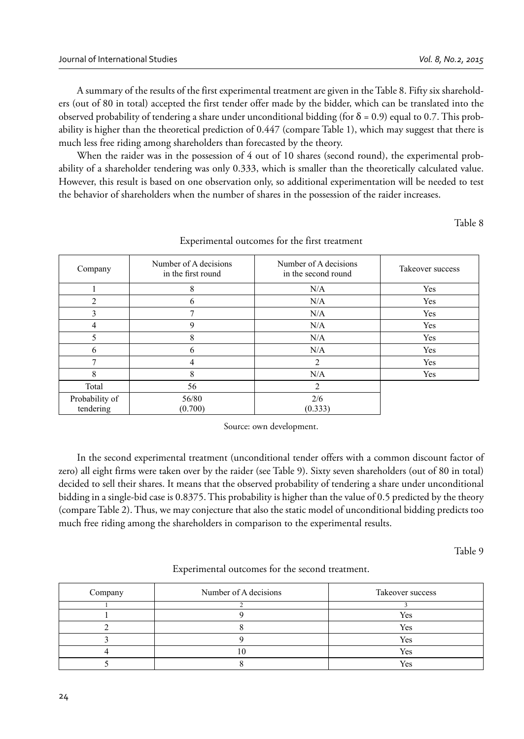A summary of the results of the first experimental treatment are given in the Table 8. Fifty six shareholders (out of 80 in total) accepted the first tender offer made by the bidder, which can be translated into the observed probability of tendering a share under unconditional bidding (for  $\delta = 0.9$ ) equal to 0.7. This probability is higher than the theoretical prediction of 0.447 (compare Table 1), which may suggest that there is much less free riding among shareholders than forecasted by the theory.

When the raider was in the possession of 4 out of 10 shares (second round), the experimental probability of a shareholder tendering was only 0.333, which is smaller than the theoretically calculated value. However, this result is based on one observation only, so additional experimentation will be needed to test the behavior of shareholders when the number of shares in the possession of the raider increases.

Table 8

| Company                     | Number of A decisions<br>in the first round | Number of A decisions<br>in the second round | Takeover success |
|-----------------------------|---------------------------------------------|----------------------------------------------|------------------|
|                             | 8                                           | N/A                                          | Yes              |
| $\mathfrak{D}$              |                                             | N/A                                          | Yes              |
| 3                           |                                             | N/A                                          | Yes              |
| 4                           | $\mathbf Q$                                 | N/A                                          | Yes              |
|                             | 8                                           | N/A                                          | Yes              |
| 6                           | 6                                           | N/A                                          | Yes              |
|                             | 4                                           | 2                                            | Yes              |
| 8                           | 8                                           | N/A                                          | Yes              |
| Total                       | 56                                          | $\overline{c}$                               |                  |
| Probability of<br>tendering | 56/80<br>(0.700)                            | 2/6<br>(0.333)                               |                  |

### Experimental outcomes for the first treatment

Source: own development.

In the second experimental treatment (unconditional tender offers with a common discount factor of zero) all eight firms were taken over by the raider (see Table 9). Sixty seven shareholders (out of 80 in total) decided to sell their shares. It means that the observed probability of tendering a share under unconditional bidding in a single-bid case is 0.8375. This probability is higher than the value of 0.5 predicted by the theory (compare Table 2). Thus, we may conjecture that also the static model of unconditional bidding predicts too much free riding among the shareholders in comparison to the experimental results.

Table 9

| Experimental outcomes for the second treatment. |  |  |
|-------------------------------------------------|--|--|
|-------------------------------------------------|--|--|

| Company | Number of A decisions | Takeover success |
|---------|-----------------------|------------------|
|         |                       |                  |
|         |                       | Yes              |
|         |                       | Yes              |
|         |                       | Yes              |
|         |                       | Yes              |
|         |                       | $V_{\rho g}$     |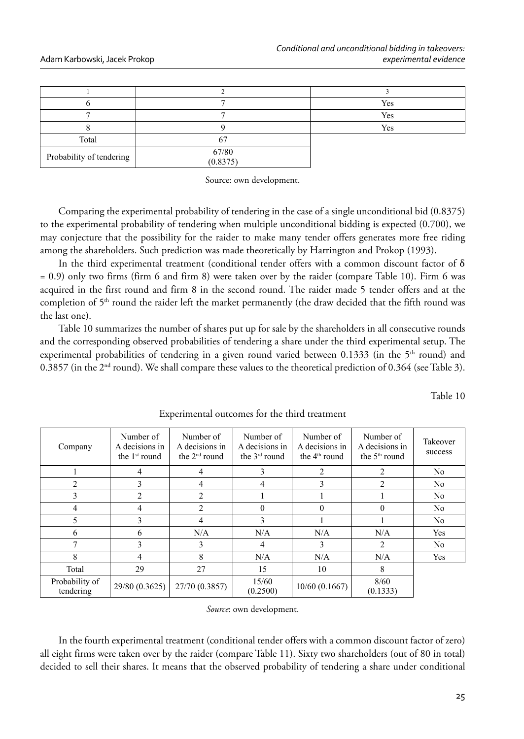|                          |                   | Yes |
|--------------------------|-------------------|-----|
|                          |                   | Yes |
|                          |                   | Yes |
| Total                    |                   |     |
| Probability of tendering | 67/80<br>(0.8375) |     |

Source: own development.

Comparing the experimental probability of tendering in the case of a single unconditional bid (0.8375) to the experimental probability of tendering when multiple unconditional bidding is expected (0.700), we may conjecture that the possibility for the raider to make many tender offers generates more free riding among the shareholders. Such prediction was made theoretically by Harrington and Prokop (1993).

In the third experimental treatment (conditional tender offers with a common discount factor of  $\delta$ = 0.9) only two firms (firm 6 and firm 8) were taken over by the raider (compare Table 10). Firm 6 was acquired in the first round and firm 8 in the second round. The raider made 5 tender offers and at the completion of 5<sup>th</sup> round the raider left the market permanently (the draw decided that the fifth round was the last one).

Table 10 summarizes the number of shares put up for sale by the shareholders in all consecutive rounds and the corresponding observed probabilities of tendering a share under the third experimental setup. The experimental probabilities of tendering in a given round varied between 0.1333 (in the 5<sup>th</sup> round) and 0.3857 (in the 2nd round). We shall compare these values to the theoretical prediction of 0.364 (see Table 3).

Table 10

| Company                     | Number of<br>A decisions in<br>the $1st$ round | Number of<br>A decisions in<br>the $2nd$ round | Number of<br>A decisions in<br>the $3rd$ round | Number of<br>A decisions in<br>the $4th$ round | Number of<br>A decisions in<br>the $5th$ round | Takeover<br>success |
|-----------------------------|------------------------------------------------|------------------------------------------------|------------------------------------------------|------------------------------------------------|------------------------------------------------|---------------------|
|                             | 4                                              | 4                                              |                                                | $\mathfrak{D}$                                 | $\mathfrak{D}$                                 | N <sub>0</sub>      |
| $\overline{c}$              | $\mathcal{F}$                                  | 4                                              | 4                                              | 3                                              | $\mathfrak{D}$                                 | No                  |
| 3                           | $\overline{c}$                                 | $\overline{2}$                                 |                                                |                                                |                                                | N <sub>0</sub>      |
| 4                           | 4                                              | $\overline{2}$                                 | 0                                              | $\Omega$                                       | $\Omega$                                       | N <sub>0</sub>      |
| 5                           | 3                                              | 4                                              |                                                |                                                |                                                | N <sub>0</sub>      |
| 6                           | 6                                              | N/A                                            | N/A                                            | N/A                                            | N/A                                            | Yes                 |
| $\mathbf{r}$                | $\mathcal{F}$                                  | 3                                              | 4                                              | 3                                              | $\overline{c}$                                 | N <sub>0</sub>      |
| 8                           | 4                                              | 8                                              | N/A                                            | N/A                                            | N/A                                            | Yes                 |
| Total                       | 29                                             | 27                                             | 15                                             | 10                                             | 8                                              |                     |
| Probability of<br>tendering | 29/80 (0.3625)                                 | 27/70 (0.3857)                                 | 15/60<br>(0.2500)                              | $10/60$ (0.1667)                               | 8/60<br>(0.1333)                               |                     |

Experimental outcomes for the third treatment

*Source*: own development.

In the fourth experimental treatment (conditional tender offers with a common discount factor of zero) all eight firms were taken over by the raider (compare Table 11). Sixty two shareholders (out of 80 in total) decided to sell their shares. It means that the observed probability of tendering a share under conditional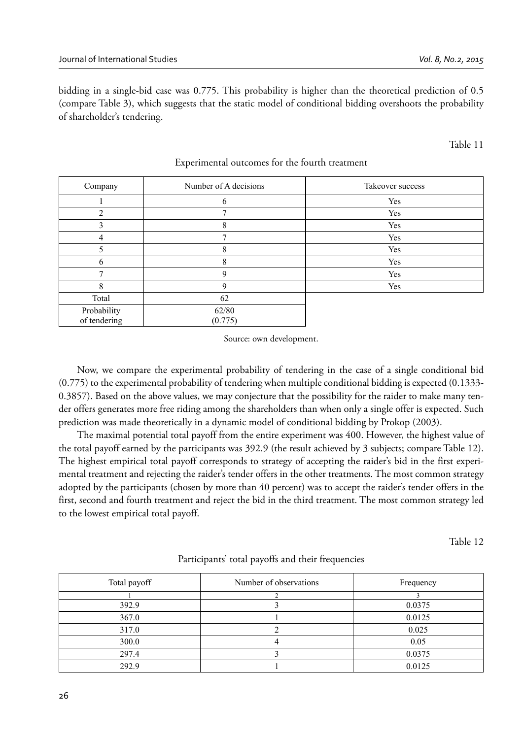bidding in a single-bid case was 0.775. This probability is higher than the theoretical prediction of 0.5 (compare Table 3), which suggests that the static model of conditional bidding overshoots the probability of shareholder's tendering.

#### Table 11

| Company                     | Number of A decisions | Takeover success |
|-----------------------------|-----------------------|------------------|
|                             |                       | Yes              |
| ↑                           |                       | Yes              |
|                             | 8                     | Yes              |
| 4                           |                       | Yes              |
|                             | 8                     | Yes              |
| 6                           | 8                     | Yes              |
| ⇁                           | Q                     | Yes              |
| 8                           | $\Omega$              | Yes              |
| Total                       | 62                    |                  |
| Probability<br>of tendering | 62/80<br>(0.775)      |                  |

#### Experimental outcomes for the fourth treatment

Source: own development.

Now, we compare the experimental probability of tendering in the case of a single conditional bid (0.775) to the experimental probability of tendering when multiple conditional bidding is expected (0.1333- 0.3857). Based on the above values, we may conjecture that the possibility for the raider to make many tender offers generates more free riding among the shareholders than when only a single offer is expected. Such prediction was made theoretically in a dynamic model of conditional bidding by Prokop (2003).

The maximal potential total payoff from the entire experiment was 400. However, the highest value of the total payoff earned by the participants was 392.9 (the result achieved by 3 subjects; compare Table 12). The highest empirical total payoff corresponds to strategy of accepting the raider's bid in the first experimental treatment and rejecting the raider's tender offers in the other treatments. The most common strategy adopted by the participants (chosen by more than 40 percent) was to accept the raider's tender offers in the first, second and fourth treatment and reject the bid in the third treatment. The most common strategy led to the lowest empirical total payoff.

Table 12

| Total payoff | Number of observations | Frequency |
|--------------|------------------------|-----------|
|              |                        |           |
| 392.9        |                        | 0.0375    |
| 367.0        |                        | 0.0125    |
| 317.0        |                        | 0.025     |
| 300.0        |                        | 0.05      |
| 297.4        |                        | 0.0375    |
| 292.9        |                        | 0.0125    |

### Participants' total payoffs and their frequencies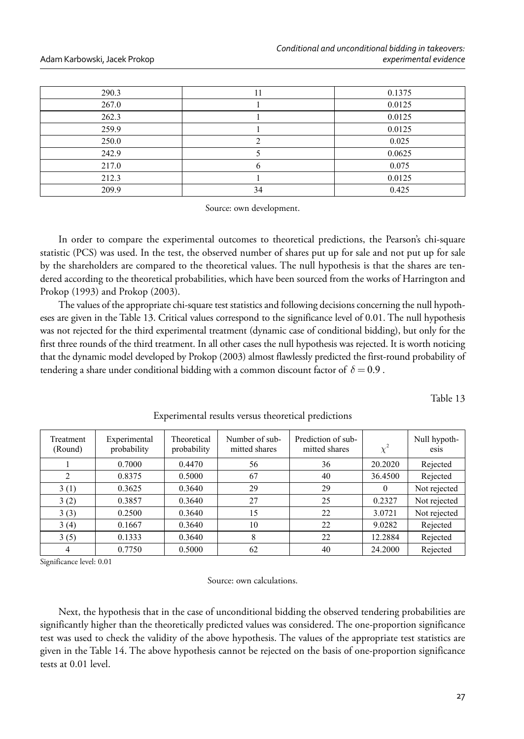| 290.3 | 11 | 0.1375 |
|-------|----|--------|
| 267.0 |    | 0.0125 |
| 262.3 |    | 0.0125 |
| 259.9 |    | 0.0125 |
| 250.0 |    | 0.025  |
| 242.9 |    | 0.0625 |
| 217.0 |    | 0.075  |
| 212.3 |    | 0.0125 |
| 209.9 | 34 | 0.425  |

Source: own development.

In order to compare the experimental outcomes to theoretical predictions, the Pearson's chi-square statistic (PCS) was used. In the test, the observed number of shares put up for sale and not put up for sale by the shareholders are compared to the theoretical values. The null hypothesis is that the shares are tendered according to the theoretical probabilities, which have been sourced from the works of Harrington and Prokop (1993) and Prokop (2003).

The values of the appropriate chi-square test statistics and following decisions concerning the null hypotheses are given in the Table 13. Critical values correspond to the significance level of 0.01. The null hypothesis was not rejected for the third experimental treatment (dynamic case of conditional bidding), but only for the first three rounds of the third treatment. In all other cases the null hypothesis was rejected. It is worth noticing that the dynamic model developed by Prokop (2003) almost flawlessly predicted the first-round probability of tendering a share under conditional bidding with a common discount factor of  $\delta = 0.9$ .

Table 13

| Treatment<br>(Round) | Experimental<br>probability | Theoretical<br>probability | Number of sub-<br>mitted shares | Prediction of sub-<br>mitted shares | $\chi^2$ | Null hypoth-<br>esis |
|----------------------|-----------------------------|----------------------------|---------------------------------|-------------------------------------|----------|----------------------|
|                      | 0.7000                      | 0.4470                     | 56                              | 36                                  | 20.2020  | Rejected             |
| $\overline{c}$       | 0.8375                      | 0.5000                     | 67                              | 40                                  | 36.4500  | Rejected             |
| 3(1)                 | 0.3625                      | 0.3640                     | 29                              | 29                                  | $\theta$ | Not rejected         |
| 3(2)                 | 0.3857                      | 0.3640                     | 27                              | 25                                  | 0.2327   | Not rejected         |
| 3(3)                 | 0.2500                      | 0.3640                     | 15                              | 22                                  | 3.0721   | Not rejected         |
| 3(4)                 | 0.1667                      | 0.3640                     | 10                              | 22                                  | 9.0282   | Rejected             |
| 3(5)                 | 0.1333                      | 0.3640                     | 8                               | 22                                  | 12.2884  | Rejected             |
| 4                    | 0.7750                      | 0.5000                     | 62                              | 40                                  | 24.2000  | Rejected             |

Experimental results versus theoretical predictions

Significance level: 0.01

Source: own calculations.

Next, the hypothesis that in the case of unconditional bidding the observed tendering probabilities are significantly higher than the theoretically predicted values was considered. The one-proportion significance test was used to check the validity of the above hypothesis. The values of the appropriate test statistics are given in the Table 14. The above hypothesis cannot be rejected on the basis of one-proportion significance tests at 0.01 level.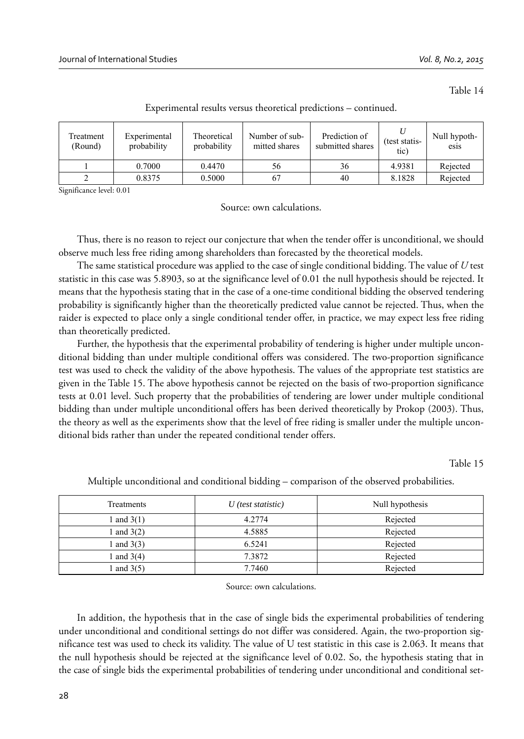Table 14

| Treatment<br>(Round) | Theoretical<br>Experimental<br>probability<br>probability |        | Number of sub-<br>mitted shares | Prediction of<br>submitted shares |        | Null hypoth-<br>esis |
|----------------------|-----------------------------------------------------------|--------|---------------------------------|-----------------------------------|--------|----------------------|
|                      | 0.7000                                                    | 0.4470 | 56                              | 36                                | 4.9381 | Rejected             |
|                      | 0.8375                                                    | 0.5000 | 67                              | 40                                | 8.1828 | Rejected             |

Experimental results versus theoretical predictions – continued.

Significance level: 0.01

Source: own calculations.

Thus, there is no reason to reject our conjecture that when the tender offer is unconditional, we should observe much less free riding among shareholders than forecasted by the theoretical models.

The same statistical procedure was applied to the case of single conditional bidding. The value of *U* test statistic in this case was 5.8903, so at the significance level of 0.01 the null hypothesis should be rejected. It means that the hypothesis stating that in the case of a one-time conditional bidding the observed tendering probability is significantly higher than the theoretically predicted value cannot be rejected. Thus, when the raider is expected to place only a single conditional tender offer, in practice, we may expect less free riding than theoretically predicted.

Further, the hypothesis that the experimental probability of tendering is higher under multiple unconditional bidding than under multiple conditional offers was considered. The two-proportion significance test was used to check the validity of the above hypothesis. The values of the appropriate test statistics are given in the Table 15. The above hypothesis cannot be rejected on the basis of two-proportion significance tests at 0.01 level. Such property that the probabilities of tendering are lower under multiple conditional bidding than under multiple unconditional offers has been derived theoretically by Prokop (2003). Thus, the theory as well as the experiments show that the level of free riding is smaller under the multiple unconditional bids rather than under the repeated conditional tender offers.

Table 15

| Treatments   | $U$ (test statistic) | Null hypothesis |
|--------------|----------------------|-----------------|
| 1 and $3(1)$ | 4.2774               | Rejected        |
| l and $3(2)$ | 4.5885               | Rejected        |
| 1 and $3(3)$ | 6.5241               | Rejected        |
| 1 and $3(4)$ | 7.3872               | Rejected        |
| l and $3(5)$ | 7.7460               | Rejected        |

Multiple unconditional and conditional bidding – comparison of the observed probabilities.

Source: own calculations.

In addition, the hypothesis that in the case of single bids the experimental probabilities of tendering under unconditional and conditional settings do not differ was considered. Again, the two-proportion significance test was used to check its validity. The value of U test statistic in this case is 2.063. It means that the null hypothesis should be rejected at the significance level of 0.02. So, the hypothesis stating that in the case of single bids the experimental probabilities of tendering under unconditional and conditional set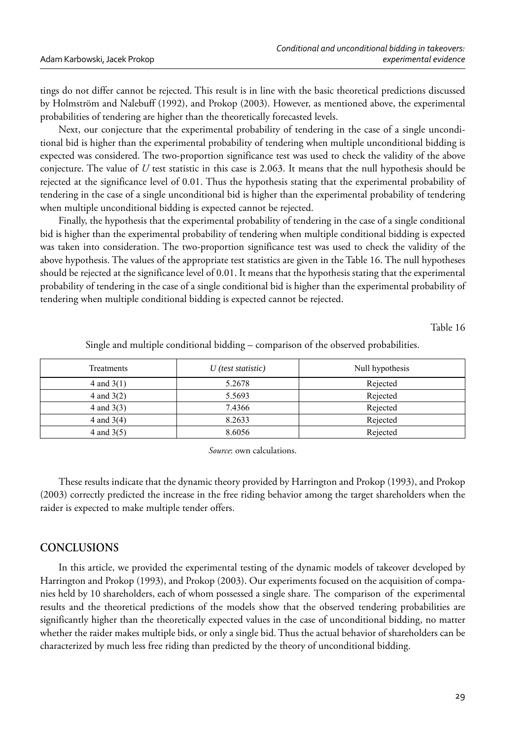tings do not differ cannot be rejected. This result is in line with the basic theoretical predictions discussed by Holmström and Nalebuff (1992), and Prokop (2003). However, as mentioned above, the experimental probabilities of tendering are higher than the theoretically forecasted levels.

Next, our conjecture that the experimental probability of tendering in the case of a single unconditional bid is higher than the experimental probability of tendering when multiple unconditional bidding is expected was considered. The two-proportion significance test was used to check the validity of the above conjecture. The value of *U* test statistic in this case is 2.063. It means that the null hypothesis should be rejected at the significance level of 0.01. Thus the hypothesis stating that the experimental probability of tendering in the case of a single unconditional bid is higher than the experimental probability of tendering when multiple unconditional bidding is expected cannot be rejected.

Finally, the hypothesis that the experimental probability of tendering in the case of a single conditional bid is higher than the experimental probability of tendering when multiple conditional bidding is expected was taken into consideration. The two-proportion significance test was used to check the validity of the above hypothesis. The values of the appropriate test statistics are given in the Table 16. The null hypotheses should be rejected at the significance level of 0.01. It means that the hypothesis stating that the experimental probability of tendering in the case of a single conditional bid is higher than the experimental probability of tendering when multiple conditional bidding is expected cannot be rejected.

Table 16

| Treatments   | $U$ (test statistic) | Null hypothesis |
|--------------|----------------------|-----------------|
| 4 and $3(1)$ | 5.2678               | Rejected        |
| 4 and $3(2)$ | 5.5693               | Rejected        |
| 4 and $3(3)$ | 7.4366               | Rejected        |
| 4 and $3(4)$ | 8.2633               | Rejected        |
| 4 and $3(5)$ | 8.6056               | Rejected        |

Single and multiple conditional bidding – comparison of the observed probabilities.

*Source*: own calculations.

These results indicate that the dynamic theory provided by Harrington and Prokop (1993), and Prokop (2003) correctly predicted the increase in the free riding behavior among the target shareholders when the raider is expected to make multiple tender offers.

## **CONCLUSIONS**

In this article, we provided the experimental testing of the dynamic models of takeover developed by Harrington and Prokop (1993), and Prokop (2003). Our experiments focused on the acquisition of companies held by 10 shareholders, each of whom possessed a single share. The comparison of the experimental results and the theoretical predictions of the models show that the observed tendering probabilities are significantly higher than the theoretically expected values in the case of unconditional bidding, no matter whether the raider makes multiple bids, or only a single bid. Thus the actual behavior of shareholders can be characterized by much less free riding than predicted by the theory of unconditional bidding.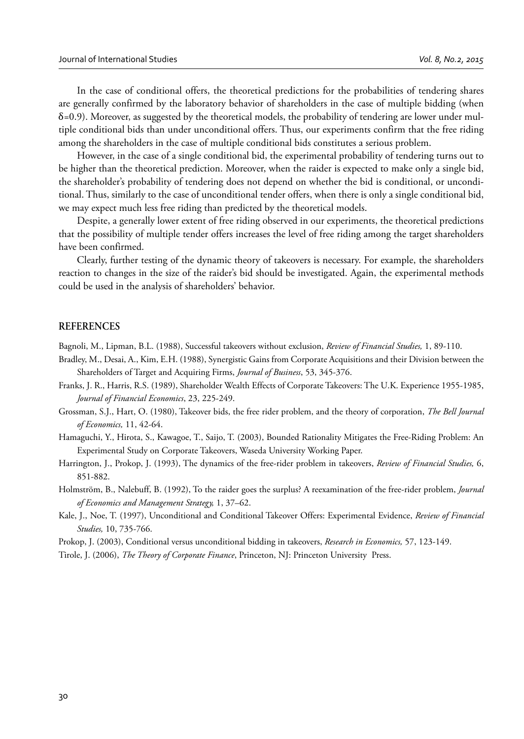In the case of conditional offers, the theoretical predictions for the probabilities of tendering shares are generally confirmed by the laboratory behavior of shareholders in the case of multiple bidding (when  $\delta$ =0.9). Moreover, as suggested by the theoretical models, the probability of tendering are lower under multiple conditional bids than under unconditional offers. Thus, our experiments confirm that the free riding among the shareholders in the case of multiple conditional bids constitutes a serious problem.

However, in the case of a single conditional bid, the experimental probability of tendering turns out to be higher than the theoretical prediction. Moreover, when the raider is expected to make only a single bid, the shareholder's probability of tendering does not depend on whether the bid is conditional, or unconditional. Thus, similarly to the case of unconditional tender offers, when there is only a single conditional bid, we may expect much less free riding than predicted by the theoretical models.

Despite, a generally lower extent of free riding observed in our experiments, the theoretical predictions that the possibility of multiple tender offers increases the level of free riding among the target shareholders have been confirmed.

Clearly, further testing of the dynamic theory of takeovers is necessary. For example, the shareholders reaction to changes in the size of the raider's bid should be investigated. Again, the experimental methods could be used in the analysis of shareholders' behavior.

### **REFERENCES**

Bagnoli, M., Lipman, B.L. (1988), Successful takeovers without exclusion, *Review of Financial Studies,* 1, 89-110.

- Bradley, M., Desai, A., Kim, E.H. (1988), Synergistic Gains from Corporate Acquisitions and their Division between the Shareholders of Target and Acquiring Firms, *Journal of Business*, 53, 345-376.
- Franks, J. R., Harris, R.S. (1989), Shareholder Wealth Effects of Corporate Takeovers: The U.K. Experience 1955-1985, *Journal of Financial Economics*, 23, 225-249.
- Grossman, S.J., Hart, O. (1980), Takeover bids, the free rider problem, and the theory of corporation, *The Bell Journal of Economics,* 11, 42-64.
- Hamaguchi, Y., Hirota, S., Kawagoe, T., Saijo, T. (2003), Bounded Rationality Mitigates the Free-Riding Problem: An Experimental Study on Corporate Takeovers, Waseda University Working Paper.
- Harrington, J., Prokop, J. (1993), The dynamics of the free-rider problem in takeovers, *Review of Financial Studies,* 6, 851-882.
- Holmström, B., Nalebuff, B. (1992), To the raider goes the surplus? A reexamination of the free-rider problem, *Journal of Economics and Management Strategy,* 1, 37–62.
- Kale, J., Noe, T. (1997), Unconditional and Conditional Takeover Offers: Experimental Evidence, *Review of Financial Studies,* 10, 735-766.

Prokop, J. (2003), Conditional versus unconditional bidding in takeovers, *Research in Economics,* 57, 123-149.

Tirole, J. (2006), *The Theory of Corporate Finance*, Princeton, NJ: Princeton University Press.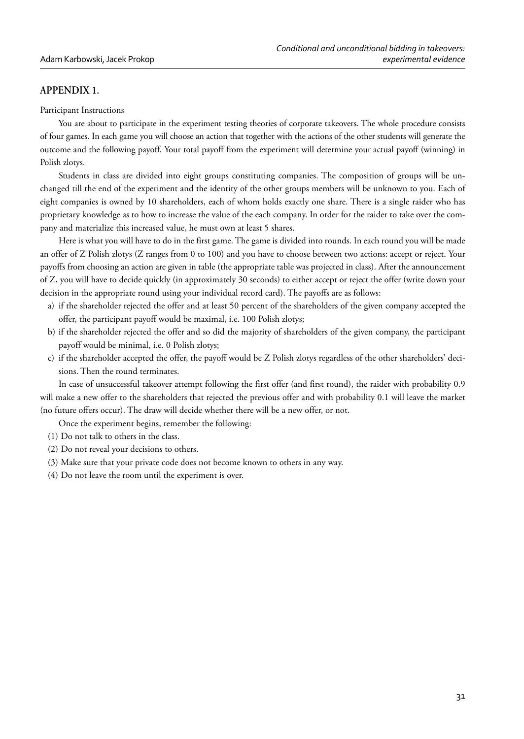# **APPENDIX 1.**

Participant Instructions

You are about to participate in the experiment testing theories of corporate takeovers. The whole procedure consists of four games. In each game you will choose an action that together with the actions of the other students will generate the outcome and the following payoff. Your total payoff from the experiment will determine your actual payoff (winning) in Polish zlotys.

Students in class are divided into eight groups constituting companies. The composition of groups will be unchanged till the end of the experiment and the identity of the other groups members will be unknown to you. Each of eight companies is owned by 10 shareholders, each of whom holds exactly one share. There is a single raider who has proprietary knowledge as to how to increase the value of the each company. In order for the raider to take over the company and materialize this increased value, he must own at least 5 shares.

Here is what you will have to do in the first game. The game is divided into rounds. In each round you will be made an offer of Z Polish zlotys (Z ranges from 0 to 100) and you have to choose between two actions: accept or reject. Your payoffs from choosing an action are given in table (the appropriate table was projected in class). After the announcement of Z, you will have to decide quickly (in approximately 30 seconds) to either accept or reject the offer (write down your decision in the appropriate round using your individual record card). The payoffs are as follows:

- a) if the shareholder rejected the offer and at least 50 percent of the shareholders of the given company accepted the offer, the participant payoff would be maximal, i.e. 100 Polish zlotys;
- b) if the shareholder rejected the offer and so did the majority of shareholders of the given company, the participant payoff would be minimal, i.e. 0 Polish zlotys;
- c) if the shareholder accepted the offer, the payoff would be Z Polish zlotys regardless of the other shareholders' decisions. Then the round terminates.

In case of unsuccessful takeover attempt following the first offer (and first round), the raider with probability 0.9 will make a new offer to the shareholders that rejected the previous offer and with probability 0.1 will leave the market (no future offers occur). The draw will decide whether there will be a new offer, or not.

Once the experiment begins, remember the following:

- (1) Do not talk to others in the class.
- (2) Do not reveal your decisions to others.
- (3) Make sure that your private code does not become known to others in any way.
- (4) Do not leave the room until the experiment is over.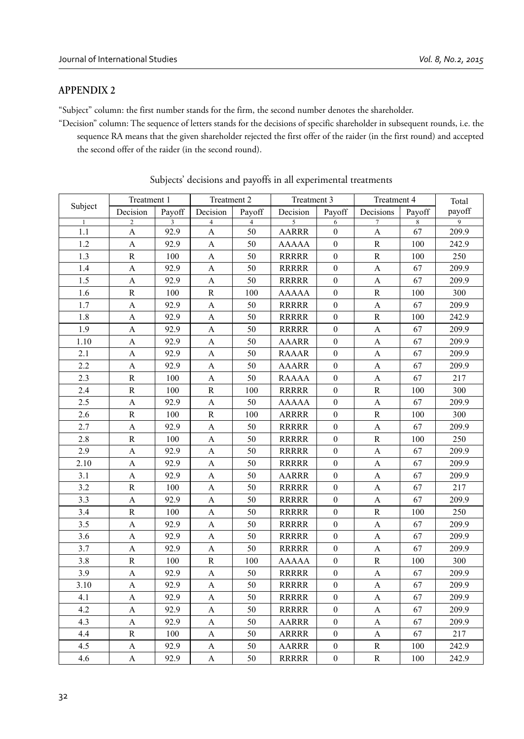# **APPENDIX 2**

"Subject" column: the first number stands for the firm, the second number denotes the shareholder.

"Decision" column: The sequence of letters stands for the decisions of specific shareholder in subsequent rounds, i.e. the sequence RA means that the given shareholder rejected the first offer of the raider (in the first round) and accepted the second offer of the raider (in the second round).

|         | Treatment 1    |        | Treatment 2    |                | Treatment 3  |                  | Treatment 4           |        | Total          |
|---------|----------------|--------|----------------|----------------|--------------|------------------|-----------------------|--------|----------------|
| Subject | Decision       | Payoff | Decision       | Payoff         | Decision     | Payoff           | Decisions             | Payoff | payoff         |
|         | $\overline{c}$ | 3      | $\overline{4}$ | $\overline{4}$ | 5            | 6                | 7                     | 8      | $\overline{9}$ |
| 1.1     | $\mathbf{A}$   | 92.9   | A              | 50             | <b>AARRR</b> | $\mathbf{0}$     | $\mathbf{A}$          | 67     | 209.9          |
| 1.2     | A              | 92.9   | A              | 50             | <b>AAAAA</b> | $\mathbf{0}$     | $\mathbb{R}$          | 100    | 242.9          |
| 1.3     | $\mathbb{R}$   | 100    | A              | 50             | <b>RRRRR</b> | $\boldsymbol{0}$ | $\mathbb{R}$          | 100    | 250            |
| 1.4     | A              | 92.9   | А              | 50             | <b>RRRRR</b> | $\mathbf{0}$     | A                     | 67     | 209.9          |
| 1.5     | A              | 92.9   | А              | 50             | <b>RRRRR</b> | $\mathbf{0}$     | A                     | 67     | 209.9          |
| 1.6     | $\mathbb{R}$   | 100    | $\mathbf R$    | 100            | <b>AAAAA</b> | $\boldsymbol{0}$ | R                     | 100    | 300            |
| 1.7     | $\mathbf{A}$   | 92.9   | A              | 50             | <b>RRRRR</b> | $\boldsymbol{0}$ | $\boldsymbol{\rm{A}}$ | 67     | 209.9          |
| 1.8     | A              | 92.9   | A              | 50             | <b>RRRRR</b> | $\mathbf{0}$     | $\mathbb{R}$          | 100    | 242.9          |
| 1.9     | $\mathbf{A}$   | 92.9   | A              | 50             | <b>RRRRR</b> | $\mathbf{0}$     | A                     | 67     | 209.9          |
| 1.10    | А              | 92.9   | А              | 50             | <b>AAARR</b> | $\mathbf{0}$     | A                     | 67     | 209.9          |
| 2.1     | A              | 92.9   | A              | 50             | <b>RAAAR</b> | $\mathbf{0}$     | A                     | 67     | 209.9          |
| 2.2     | $\overline{A}$ | 92.9   | A              | 50             | <b>AAARR</b> | $\mathbf{0}$     | $\mathbf{A}$          | 67     | 209.9          |
| 2.3     | $\mathbf R$    | 100    | А              | 50             | <b>RAAAA</b> | $\mathbf{0}$     | $\boldsymbol{A}$      | 67     | 217            |
| 2.4     | $\mathbb{R}$   | 100    | $\mathbb{R}$   | 100            | <b>RRRRR</b> | $\mathbf{0}$     | $\mathbb{R}$          | 100    | 300            |
| 2.5     | A              | 92.9   | А              | 50             | <b>AAAAA</b> | $\mathbf{0}$     | A                     | 67     | 209.9          |
| 2.6     | $\mathbb{R}$   | 100    | $\mathbb{R}$   | 100            | <b>ARRRR</b> | $\boldsymbol{0}$ | $\mathbb{R}$          | 100    | 300            |
| 2.7     | A              | 92.9   | А              | 50             | <b>RRRRR</b> | $\mathbf{0}$     | A                     | 67     | 209.9          |
| 2.8     | $\mathbf R$    | 100    | A              | 50             | <b>RRRRR</b> | $\boldsymbol{0}$ | $\mathbb{R}$          | 100    | 250            |
| 2.9     | $\mathbf{A}$   | 92.9   | A              | 50             | <b>RRRRR</b> | $\boldsymbol{0}$ | $\mathbf{A}$          | 67     | 209.9          |
| 2.10    | A              | 92.9   | A              | 50             | <b>RRRRR</b> | $\mathbf{0}$     | A                     | 67     | 209.9          |
| 3.1     | $\mathbf{A}$   | 92.9   | A              | 50             | <b>AARRR</b> | $\mathbf{0}$     | A                     | 67     | 209.9          |
| 3.2     | $\mathbf R$    | 100    | A              | 50             | <b>RRRRR</b> | $\overline{0}$   | $\mathbf{A}$          | 67     | 217            |
| 3.3     | $\overline{A}$ | 92.9   | A              | 50             | <b>RRRRR</b> | $\mathbf{0}$     | A                     | 67     | 209.9          |
| 3.4     | ${\bf R}$      | 100    | A              | 50             | <b>RRRRR</b> | $\overline{0}$   | ${\bf R}$             | 100    | 250            |
| 3.5     | A              | 92.9   | A              | 50             | <b>RRRRR</b> | $\mathbf{0}$     | $\boldsymbol{\rm{A}}$ | 67     | 209.9          |
| 3.6     | A              | 92.9   | A              | 50             | <b>RRRRR</b> | $\mathbf{0}$     | A                     | 67     | 209.9          |
| 3.7     | А              | 92.9   | A              | 50             | <b>RRRRR</b> | $\mathbf{0}$     | A                     | 67     | 209.9          |
| 3.8     | $\mathbf R$    | 100    | $\mathbb{R}$   | 100            | <b>AAAAA</b> | $\mathbf{0}$     | $\mathbb{R}$          | 100    | 300            |
| 3.9     | A              | 92.9   | A              | 50             | <b>RRRRR</b> | $\mathbf{0}$     | A                     | 67     | 209.9          |
| 3.10    | A              | 92.9   | A              | 50             | <b>RRRRR</b> | $\boldsymbol{0}$ | A                     | 67     | 209.9          |
| 4.1     | $\mathbf{A}$   | 92.9   | A              | 50             | <b>RRRRR</b> | $\mathbf{0}$     | $\mathbf{A}$          | 67     | 209.9          |
| 4.2     | A              | 92.9   | A              | 50             | <b>RRRRR</b> | $\mathbf{0}$     | A                     | 67     | 209.9          |
| 4.3     | A              | 92.9   | А              | 50             | <b>AARRR</b> | $\boldsymbol{0}$ | A                     | 67     | 209.9          |
| 4.4     | $\mathbb{R}$   | 100    | A              | 50             | <b>ARRRR</b> | $\mathbf{0}$     | $\mathbf{A}$          | 67     | 217            |
| 4.5     | A              | 92.9   | A              | 50             | <b>AARRR</b> | $\mathbf{0}$     | ${\bf R}$             | 100    | 242.9          |
| 4.6     | A              | 92.9   | A              | 50             | <b>RRRRR</b> | $\boldsymbol{0}$ | ${\bf R}$             | 100    | 242.9          |

Subjects' decisions and payoffs in all experimental treatments